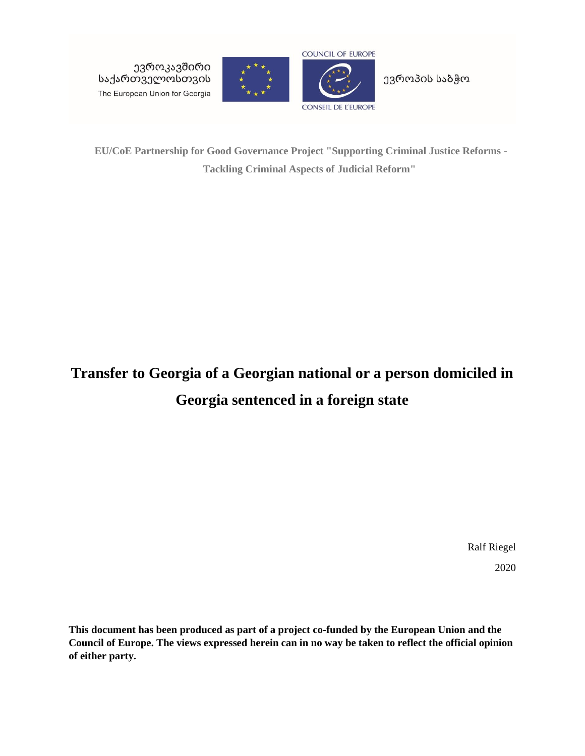ევროკავშირი საქართველოსთვის The European Union for Georgia





ევროპის საბჭო

**EU/CoE Partnership for Good Governance Project "Supporting Criminal Justice Reforms - Tackling Criminal Aspects of Judicial Reform"**

# **Transfer to Georgia of a Georgian national or a person domiciled in Georgia sentenced in a foreign state**

Ralf Riegel 2020

**This document has been produced as part of a project co-funded by the European Union and the Council of Europe. The views expressed herein can in no way be taken to reflect the official opinion of either party.**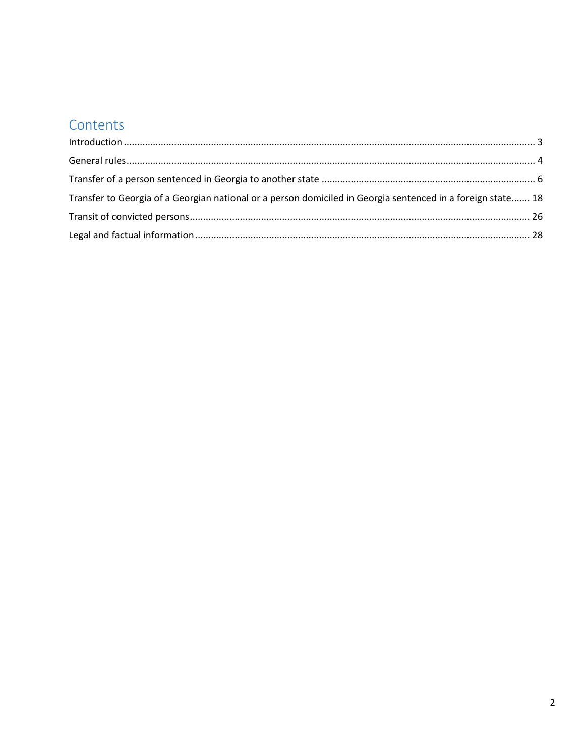## Contents

| Transfer to Georgia of a Georgian national or a person domiciled in Georgia sentenced in a foreign state 18 |  |
|-------------------------------------------------------------------------------------------------------------|--|
|                                                                                                             |  |
|                                                                                                             |  |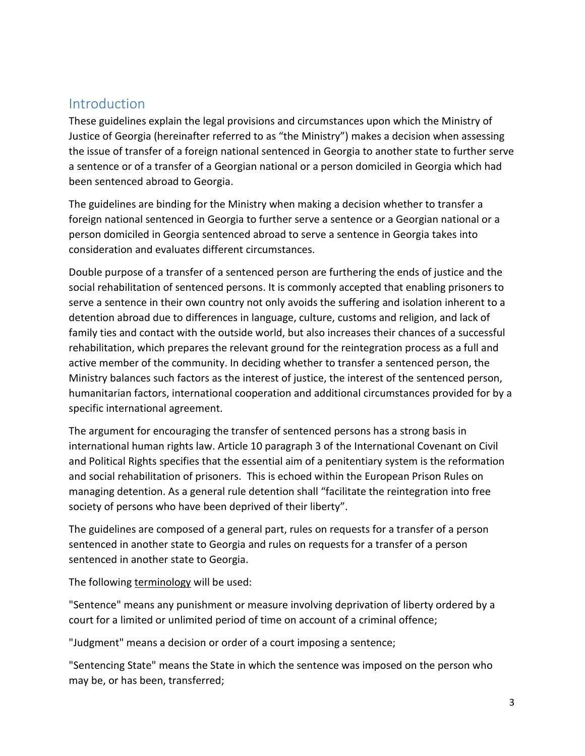## <span id="page-2-0"></span>**Introduction**

These guidelines explain the legal provisions and circumstances upon which the Ministry of Justice of Georgia (hereinafter referred to as "the Ministry") makes a decision when assessing the issue of transfer of a foreign national sentenced in Georgia to another state to further serve a sentence or of a transfer of a Georgian national or a person domiciled in Georgia which had been sentenced abroad to Georgia.

The guidelines are binding for the Ministry when making a decision whether to transfer a foreign national sentenced in Georgia to further serve a sentence or a Georgian national or a person domiciled in Georgia sentenced abroad to serve a sentence in Georgia takes into consideration and evaluates different circumstances.

Double purpose of a transfer of a sentenced person are furthering the ends of justice and the social rehabilitation of sentenced persons. It is commonly accepted that enabling prisoners to serve a sentence in their own country not only avoids the suffering and isolation inherent to a detention abroad due to differences in language, culture, customs and religion, and lack of family ties and contact with the outside world, but also increases their chances of a successful rehabilitation, which prepares the relevant ground for the reintegration process as a full and active member of the community. In deciding whether to transfer a sentenced person, the Ministry balances such factors as the interest of justice, the interest of the sentenced person, humanitarian factors, international cooperation and additional circumstances provided for by a specific international agreement.

The argument for encouraging the transfer of sentenced persons has a strong basis in international human rights law. Article 10 paragraph 3 of the International Covenant on Civil and Political Rights specifies that the essential aim of a penitentiary system is the reformation and social rehabilitation of prisoners. This is echoed within the European Prison Rules on managing detention. As a general rule detention shall "facilitate the reintegration into free society of persons who have been deprived of their liberty".

The guidelines are composed of a general part, rules on requests for a transfer of a person sentenced in another state to Georgia and rules on requests for a transfer of a person sentenced in another state to Georgia.

The following terminology will be used:

"Sentence" means any punishment or measure involving deprivation of liberty ordered by a court for a limited or unlimited period of time on account of a criminal offence;

"Judgment" means a decision or order of a court imposing a sentence;

"Sentencing State" means the State in which the sentence was imposed on the person who may be, or has been, transferred;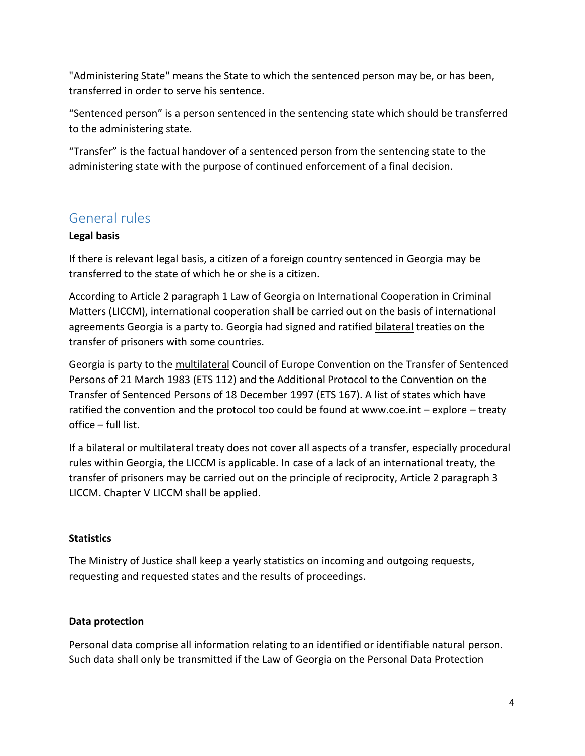"Administering State" means the State to which the sentenced person may be, or has been, transferred in order to serve his sentence.

"Sentenced person" is a person sentenced in the sentencing state which should be transferred to the administering state.

"Transfer" is the factual handover of a sentenced person from the sentencing state to the administering state with the purpose of continued enforcement of a final decision.

## <span id="page-3-0"></span>General rules

#### **Legal basis**

If there is relevant legal basis, a citizen of a foreign country sentenced in Georgia may be transferred to the state of which he or she is a citizen.

According to Article 2 paragraph 1 Law of Georgia on International Cooperation in Criminal Matters (LICCM), international cooperation shall be carried out on the basis of international agreements Georgia is a party to. Georgia had signed and ratified bilateral treaties on the transfer of prisoners with some countries.

Georgia is party to the multilateral Council of Europe Convention on the Transfer of Sentenced Persons of 21 March 1983 (ETS 112) and the Additional Protocol to the Convention on the Transfer of Sentenced Persons of 18 December 1997 (ETS 167). A list of states which have ratified the convention and the protocol too could be found at www.coe.int – explore – treaty office – full list.

If a bilateral or multilateral treaty does not cover all aspects of a transfer, especially procedural rules within Georgia, the LICCM is applicable. In case of a lack of an international treaty, the transfer of prisoners may be carried out on the principle of reciprocity, Article 2 paragraph 3 LICCM. Chapter V LICCM shall be applied.

#### **Statistics**

The Ministry of Justice shall keep a yearly statistics on incoming and outgoing requests, requesting and requested states and the results of proceedings.

#### **Data protection**

Personal data comprise all information relating to an identified or identifiable natural person. Such data shall only be transmitted if the Law of Georgia on the Personal Data Protection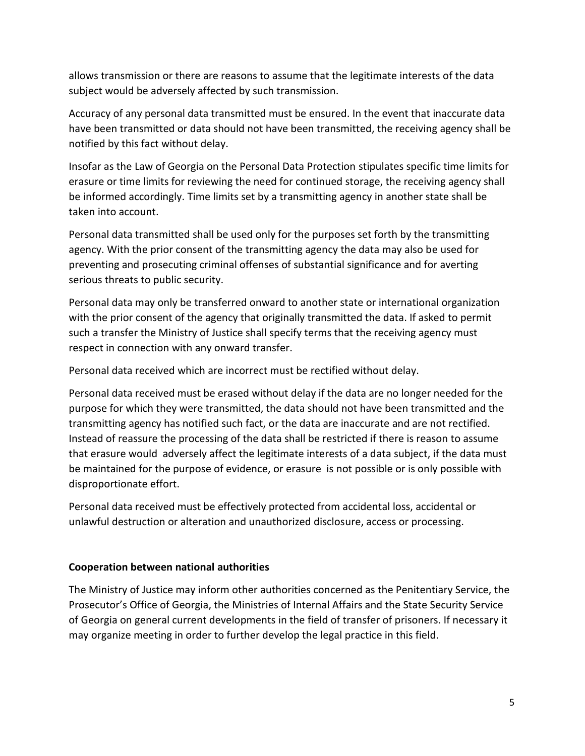allows transmission or there are reasons to assume that the legitimate interests of the data subject would be adversely affected by such transmission.

Accuracy of any personal data transmitted must be ensured. In the event that inaccurate data have been transmitted or data should not have been transmitted, the receiving agency shall be notified by this fact without delay.

Insofar as the Law of Georgia on the Personal Data Protection stipulates specific time limits for erasure or time limits for reviewing the need for continued storage, the receiving agency shall be informed accordingly. Time limits set by a transmitting agency in another state shall be taken into account.

Personal data transmitted shall be used only for the purposes set forth by the transmitting agency. With the prior consent of the transmitting agency the data may also be used for preventing and prosecuting criminal offenses of substantial significance and for averting serious threats to public security.

Personal data may only be transferred onward to another state or international organization with the prior consent of the agency that originally transmitted the data. If asked to permit such a transfer the Ministry of Justice shall specify terms that the receiving agency must respect in connection with any onward transfer.

Personal data received which are incorrect must be rectified without delay.

Personal data received must be erased without delay if the data are no longer needed for the purpose for which they were transmitted, the data should not have been transmitted and the transmitting agency has notified such fact, or the data are inaccurate and are not rectified. Instead of reassure the processing of the data shall be restricted if there is reason to assume that erasure would adversely affect the legitimate interests of a data subject, if the data must be maintained for the purpose of evidence, or erasure is not possible or is only possible with disproportionate effort.

Personal data received must be effectively protected from accidental loss, accidental or unlawful destruction or alteration and unauthorized disclosure, access or processing.

#### **Cooperation between national authorities**

The Ministry of Justice may inform other authorities concerned as the Penitentiary Service, the Prosecutor's Office of Georgia, the Ministries of Internal Affairs and the State Security Service of Georgia on general current developments in the field of transfer of prisoners. If necessary it may organize meeting in order to further develop the legal practice in this field.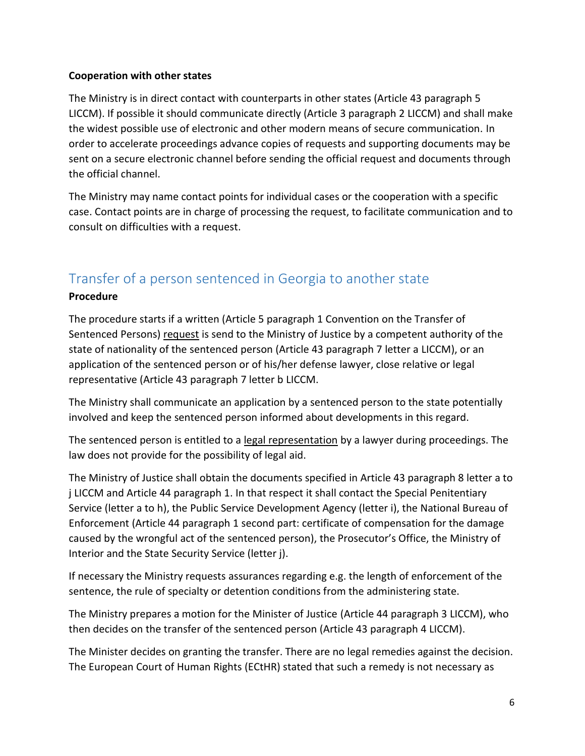#### **Cooperation with other states**

The Ministry is in direct contact with counterparts in other states (Article 43 paragraph 5 LICCM). If possible it should communicate directly (Article 3 paragraph 2 LICCM) and shall make the widest possible use of electronic and other modern means of secure communication. In order to accelerate proceedings advance copies of requests and supporting documents may be sent on a secure electronic channel before sending the official request and documents through the official channel.

The Ministry may name contact points for individual cases or the cooperation with a specific case. Contact points are in charge of processing the request, to facilitate communication and to consult on difficulties with a request.

## <span id="page-5-0"></span>Transfer of a person sentenced in Georgia to another state

#### **Procedure**

The procedure starts if a written (Article 5 paragraph 1 Convention on the Transfer of Sentenced Persons) request is send to the Ministry of Justice by a competent authority of the state of nationality of the sentenced person (Article 43 paragraph 7 letter a LICCM), or an application of the sentenced person or of his/her defense lawyer, close relative or legal representative (Article 43 paragraph 7 letter b LICCM.

The Ministry shall communicate an application by a sentenced person to the state potentially involved and keep the sentenced person informed about developments in this regard.

The sentenced person is entitled to a legal representation by a lawyer during proceedings. The law does not provide for the possibility of legal aid.

The Ministry of Justice shall obtain the documents specified in Article 43 paragraph 8 letter a to j LICCM and Article 44 paragraph 1. In that respect it shall contact the Special Penitentiary Service (letter a to h), the Public Service Development Agency (letter i), the National Bureau of Enforcement (Article 44 paragraph 1 second part: certificate of compensation for the damage caused by the wrongful act of the sentenced person), the Prosecutor's Office, the Ministry of Interior and the State Security Service (letter j).

If necessary the Ministry requests assurances regarding e.g. the length of enforcement of the sentence, the rule of specialty or detention conditions from the administering state.

The Ministry prepares a motion for the Minister of Justice (Article 44 paragraph 3 LICCM), who then decides on the transfer of the sentenced person (Article 43 paragraph 4 LICCM).

The Minister decides on granting the transfer. There are no legal remedies against the decision. The European Court of Human Rights (ECtHR) stated that such a remedy is not necessary as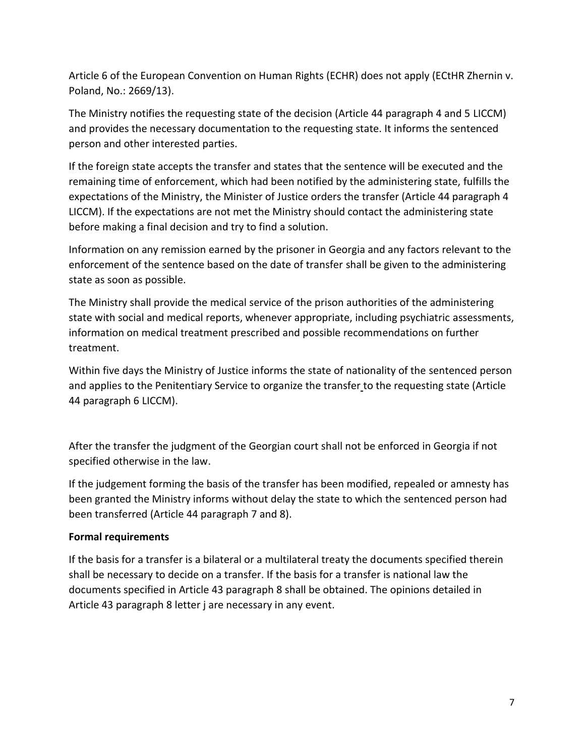Article 6 of the European Convention on Human Rights (ECHR) does not apply (ECtHR Zhernin v. Poland, No.: 2669/13).

The Ministry notifies the requesting state of the decision (Article 44 paragraph 4 and 5 LICCM) and provides the necessary documentation to the requesting state. It informs the sentenced person and other interested parties.

If the foreign state accepts the transfer and states that the sentence will be executed and the remaining time of enforcement, which had been notified by the administering state, fulfills the expectations of the Ministry, the Minister of Justice orders the transfer (Article 44 paragraph 4 LICCM). If the expectations are not met the Ministry should contact the administering state before making a final decision and try to find a solution.

Information on any remission earned by the prisoner in Georgia and any factors relevant to the enforcement of the sentence based on the date of transfer shall be given to the administering state as soon as possible.

The Ministry shall provide the medical service of the prison authorities of the administering state with social and medical reports, whenever appropriate, including psychiatric assessments, information on medical treatment prescribed and possible recommendations on further treatment.

Within five days the Ministry of Justice informs the state of nationality of the sentenced person and applies to the Penitentiary Service to organize the transfer to the requesting state (Article 44 paragraph 6 LICCM).

After the transfer the judgment of the Georgian court shall not be enforced in Georgia if not specified otherwise in the law.

If the judgement forming the basis of the transfer has been modified, repealed or amnesty has been granted the Ministry informs without delay the state to which the sentenced person had been transferred (Article 44 paragraph 7 and 8).

#### **Formal requirements**

If the basis for a transfer is a bilateral or a multilateral treaty the documents specified therein shall be necessary to decide on a transfer. If the basis for a transfer is national law the documents specified in Article 43 paragraph 8 shall be obtained. The opinions detailed in Article 43 paragraph 8 letter j are necessary in any event.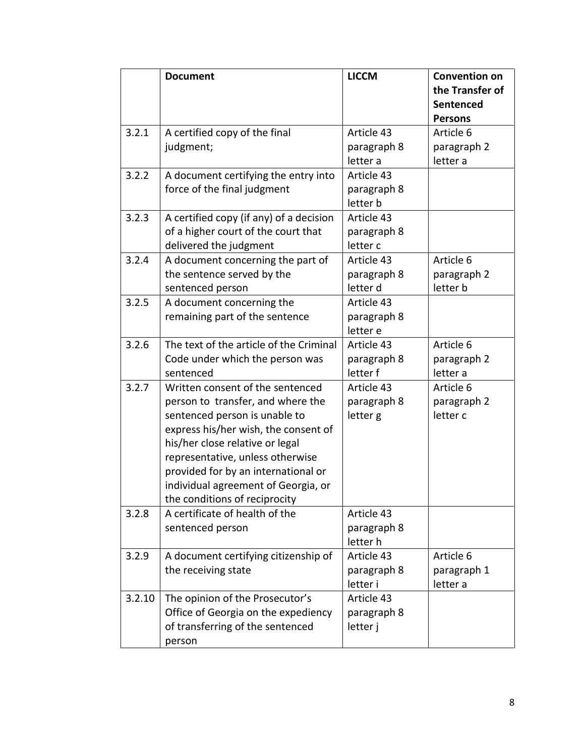|        | <b>Document</b>                                                                                                                                                                                                                                                                                                                      | <b>LICCM</b>                          | <b>Convention on</b><br>the Transfer of<br>Sentenced<br><b>Persons</b> |
|--------|--------------------------------------------------------------------------------------------------------------------------------------------------------------------------------------------------------------------------------------------------------------------------------------------------------------------------------------|---------------------------------------|------------------------------------------------------------------------|
| 3.2.1  | A certified copy of the final<br>judgment;                                                                                                                                                                                                                                                                                           | Article 43<br>paragraph 8<br>letter a | Article 6<br>paragraph 2<br>letter a                                   |
| 3.2.2  | A document certifying the entry into<br>force of the final judgment                                                                                                                                                                                                                                                                  | Article 43<br>paragraph 8<br>letter b |                                                                        |
| 3.2.3  | A certified copy (if any) of a decision<br>of a higher court of the court that<br>delivered the judgment                                                                                                                                                                                                                             | Article 43<br>paragraph 8<br>letter c |                                                                        |
| 3.2.4  | A document concerning the part of<br>the sentence served by the<br>sentenced person                                                                                                                                                                                                                                                  | Article 43<br>paragraph 8<br>letter d | Article 6<br>paragraph 2<br>letter b                                   |
| 3.2.5  | A document concerning the<br>remaining part of the sentence                                                                                                                                                                                                                                                                          | Article 43<br>paragraph 8<br>letter e |                                                                        |
| 3.2.6  | The text of the article of the Criminal<br>Code under which the person was<br>sentenced                                                                                                                                                                                                                                              | Article 43<br>paragraph 8<br>letter f | Article 6<br>paragraph 2<br>letter a                                   |
| 3.2.7  | Written consent of the sentenced<br>person to transfer, and where the<br>sentenced person is unable to<br>express his/her wish, the consent of<br>his/her close relative or legal<br>representative, unless otherwise<br>provided for by an international or<br>individual agreement of Georgia, or<br>the conditions of reciprocity | Article 43<br>paragraph 8<br>letter g | Article 6<br>paragraph 2<br>letter c                                   |
| 3.2.8  | A certificate of health of the<br>sentenced person                                                                                                                                                                                                                                                                                   | Article 43<br>paragraph 8<br>letter h |                                                                        |
| 3.2.9  | A document certifying citizenship of<br>the receiving state                                                                                                                                                                                                                                                                          | Article 43<br>paragraph 8<br>letter i | Article 6<br>paragraph 1<br>letter a                                   |
| 3.2.10 | The opinion of the Prosecutor's<br>Office of Georgia on the expediency<br>of transferring of the sentenced<br>person                                                                                                                                                                                                                 | Article 43<br>paragraph 8<br>letter j |                                                                        |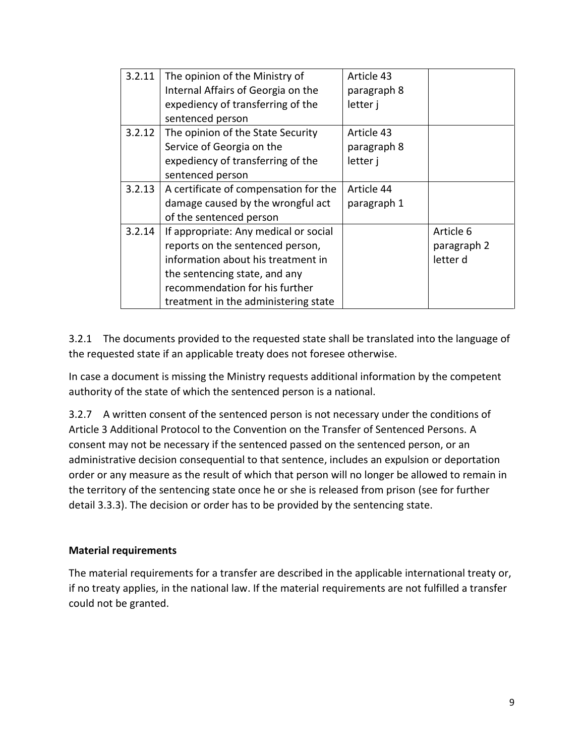| 3.2.11 | The opinion of the Ministry of        | Article 43  |             |
|--------|---------------------------------------|-------------|-------------|
|        | Internal Affairs of Georgia on the    | paragraph 8 |             |
|        | expediency of transferring of the     | letter j    |             |
|        | sentenced person                      |             |             |
| 3.2.12 | The opinion of the State Security     | Article 43  |             |
|        | Service of Georgia on the             | paragraph 8 |             |
|        | expediency of transferring of the     | letter j    |             |
|        | sentenced person                      |             |             |
| 3.2.13 | A certificate of compensation for the | Article 44  |             |
|        | damage caused by the wrongful act     | paragraph 1 |             |
|        | of the sentenced person               |             |             |
| 3.2.14 | If appropriate: Any medical or social |             | Article 6   |
|        | reports on the sentenced person,      |             | paragraph 2 |
|        | information about his treatment in    |             | letter d    |
|        | the sentencing state, and any         |             |             |
|        | recommendation for his further        |             |             |
|        | treatment in the administering state  |             |             |

3.2.1 The documents provided to the requested state shall be translated into the language of the requested state if an applicable treaty does not foresee otherwise.

In case a document is missing the Ministry requests additional information by the competent authority of the state of which the sentenced person is a national.

3.2.7 A written consent of the sentenced person is not necessary under the conditions of Article 3 Additional Protocol to the Convention on the Transfer of Sentenced Persons. A consent may not be necessary if the sentenced passed on the sentenced person, or an administrative decision consequential to that sentence, includes an expulsion or deportation order or any measure as the result of which that person will no longer be allowed to remain in the territory of the sentencing state once he or she is released from prison (see for further detail 3.3.3). The decision or order has to be provided by the sentencing state.

#### **Material requirements**

The material requirements for a transfer are described in the applicable international treaty or, if no treaty applies, in the national law. If the material requirements are not fulfilled a transfer could not be granted.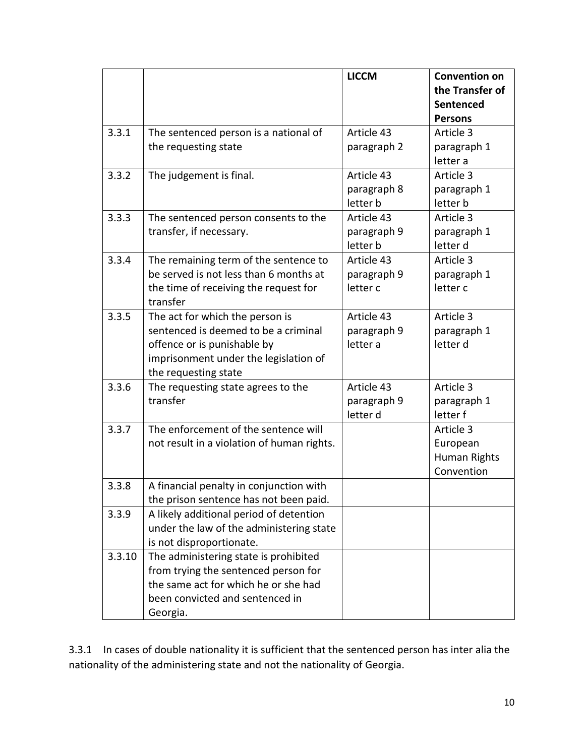|        |                                            | <b>LICCM</b> | <b>Convention on</b> |
|--------|--------------------------------------------|--------------|----------------------|
|        |                                            |              | the Transfer of      |
|        |                                            |              | Sentenced            |
|        |                                            |              | <b>Persons</b>       |
| 3.3.1  | The sentenced person is a national of      | Article 43   | Article 3            |
|        | the requesting state                       | paragraph 2  | paragraph 1          |
|        |                                            |              | letter a             |
| 3.3.2  | The judgement is final.                    | Article 43   | Article 3            |
|        |                                            | paragraph 8  | paragraph 1          |
|        |                                            | letter b     | letter b             |
| 3.3.3  | The sentenced person consents to the       | Article 43   | Article 3            |
|        | transfer, if necessary.                    | paragraph 9  | paragraph 1          |
|        |                                            | letter b     | letter d             |
| 3.3.4  | The remaining term of the sentence to      | Article 43   | Article 3            |
|        | be served is not less than 6 months at     | paragraph 9  | paragraph 1          |
|        | the time of receiving the request for      | letter c     | letter c             |
|        | transfer                                   |              |                      |
| 3.3.5  | The act for which the person is            | Article 43   | Article 3            |
|        | sentenced is deemed to be a criminal       | paragraph 9  | paragraph 1          |
|        | offence or is punishable by                | letter a     | letter d             |
|        | imprisonment under the legislation of      |              |                      |
|        | the requesting state                       |              |                      |
| 3.3.6  | The requesting state agrees to the         | Article 43   | Article 3            |
|        | transfer                                   | paragraph 9  | paragraph 1          |
|        |                                            | letter d     | letter f             |
| 3.3.7  | The enforcement of the sentence will       |              | Article 3            |
|        | not result in a violation of human rights. |              | European             |
|        |                                            |              | Human Rights         |
|        |                                            |              | Convention           |
| 3.3.8  | A financial penalty in conjunction with    |              |                      |
|        | the prison sentence has not been paid.     |              |                      |
| 3.3.9  | A likely additional period of detention    |              |                      |
|        | under the law of the administering state   |              |                      |
|        | is not disproportionate.                   |              |                      |
| 3.3.10 | The administering state is prohibited      |              |                      |
|        | from trying the sentenced person for       |              |                      |
|        | the same act for which he or she had       |              |                      |
|        | been convicted and sentenced in            |              |                      |
|        | Georgia.                                   |              |                      |

3.3.1 In cases of double nationality it is sufficient that the sentenced person has inter alia the nationality of the administering state and not the nationality of Georgia.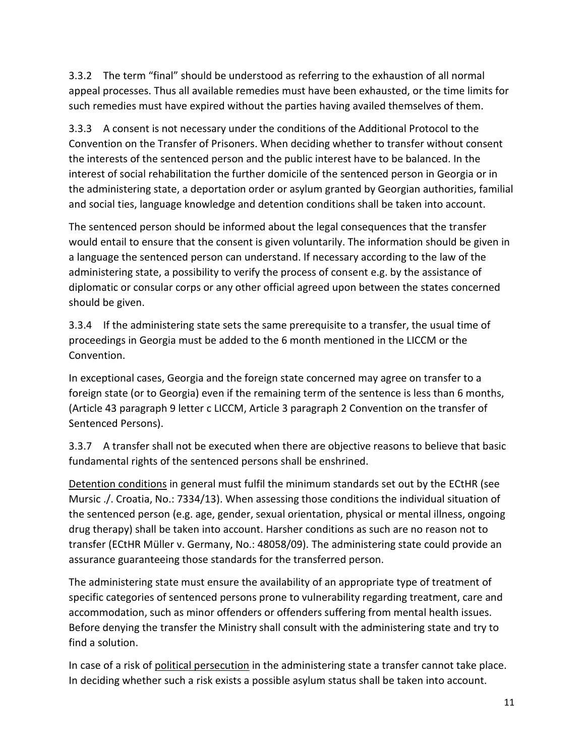3.3.2 The term "final" should be understood as referring to the exhaustion of all normal appeal processes. Thus all available remedies must have been exhausted, or the time limits for such remedies must have expired without the parties having availed themselves of them.

3.3.3 A consent is not necessary under the conditions of the Additional Protocol to the Convention on the Transfer of Prisoners. When deciding whether to transfer without consent the interests of the sentenced person and the public interest have to be balanced. In the interest of social rehabilitation the further domicile of the sentenced person in Georgia or in the administering state, a deportation order or asylum granted by Georgian authorities, familial and social ties, language knowledge and detention conditions shall be taken into account.

The sentenced person should be informed about the legal consequences that the transfer would entail to ensure that the consent is given voluntarily. The information should be given in a language the sentenced person can understand. If necessary according to the law of the administering state, a possibility to verify the process of consent e.g. by the assistance of diplomatic or consular corps or any other official agreed upon between the states concerned should be given.

3.3.4 If the administering state sets the same prerequisite to a transfer, the usual time of proceedings in Georgia must be added to the 6 month mentioned in the LICCM or the Convention.

In exceptional cases, Georgia and the foreign state concerned may agree on transfer to a foreign state (or to Georgia) even if the remaining term of the sentence is less than 6 months, (Article 43 paragraph 9 letter c LICCM, Article 3 paragraph 2 Convention on the transfer of Sentenced Persons).

3.3.7 A transfer shall not be executed when there are objective reasons to believe that basic fundamental rights of the sentenced persons shall be enshrined.

Detention conditions in general must fulfil the minimum standards set out by the ECtHR (see Mursic ./. Croatia, No.: 7334/13). When assessing those conditions the individual situation of the sentenced person (e.g. age, gender, sexual orientation, physical or mental illness, ongoing drug therapy) shall be taken into account. Harsher conditions as such are no reason not to transfer (ECtHR Müller v. Germany, No.: 48058/09). The administering state could provide an assurance guaranteeing those standards for the transferred person.

The administering state must ensure the availability of an appropriate type of treatment of specific categories of sentenced persons prone to vulnerability regarding treatment, care and accommodation, such as minor offenders or offenders suffering from mental health issues. Before denying the transfer the Ministry shall consult with the administering state and try to find a solution.

In case of a risk of political persecution in the administering state a transfer cannot take place. In deciding whether such a risk exists a possible asylum status shall be taken into account.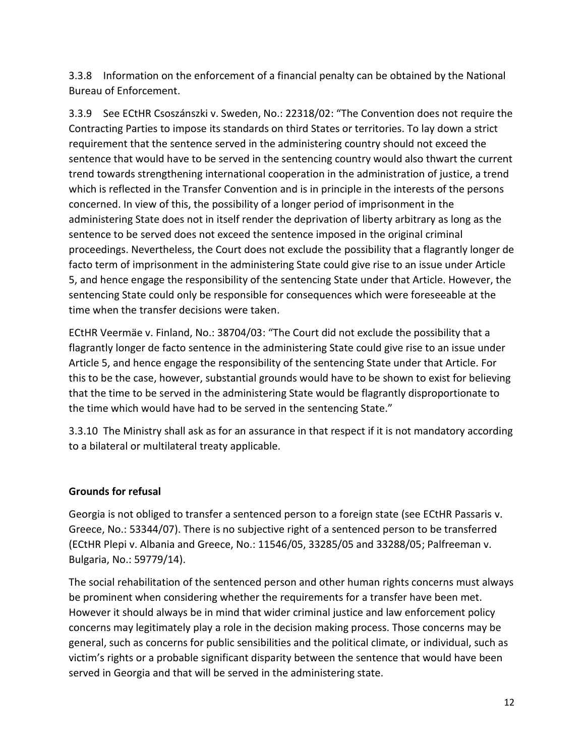3.3.8 Information on the enforcement of a financial penalty can be obtained by the National Bureau of Enforcement.

3.3.9 See ECtHR Csoszánszki v. Sweden, No.: 22318/02: "The Convention does not require the Contracting Parties to impose its standards on third States or territories. To lay down a strict requirement that the sentence served in the administering country should not exceed the sentence that would have to be served in the sentencing country would also thwart the current trend towards strengthening international cooperation in the administration of justice, a trend which is reflected in the Transfer Convention and is in principle in the interests of the persons concerned. In view of this, the possibility of a longer period of imprisonment in the administering State does not in itself render the deprivation of liberty arbitrary as long as the sentence to be served does not exceed the sentence imposed in the original criminal proceedings. Nevertheless, the Court does not exclude the possibility that a flagrantly longer de facto term of imprisonment in the administering State could give rise to an issue under Article 5, and hence engage the responsibility of the sentencing State under that Article. However, the sentencing State could only be responsible for consequences which were foreseeable at the time when the transfer decisions were taken.

ECtHR Veermäe v. Finland, No.: 38704/03: "The Court did not exclude the possibility that a flagrantly longer de facto sentence in the administering State could give rise to an issue under Article 5, and hence engage the responsibility of the sentencing State under that Article. For this to be the case, however, substantial grounds would have to be shown to exist for believing that the time to be served in the administering State would be flagrantly disproportionate to the time which would have had to be served in the sentencing State."

3.3.10 The Ministry shall ask as for an assurance in that respect if it is not mandatory according to a bilateral or multilateral treaty applicable.

#### **Grounds for refusal**

Georgia is not obliged to transfer a sentenced person to a foreign state (see ECtHR Passaris v. Greece, No.: 53344/07). There is no subjective right of a sentenced person to be transferred (ECtHR Plepi v. Albania and Greece, No.: 11546/05, 33285/05 and 33288/05; Palfreeman v. Bulgaria, No.: 59779/14).

The social rehabilitation of the sentenced person and other human rights concerns must always be prominent when considering whether the requirements for a transfer have been met. However it should always be in mind that wider criminal justice and law enforcement policy concerns may legitimately play a role in the decision making process. Those concerns may be general, such as concerns for public sensibilities and the political climate, or individual, such as victim's rights or a probable significant disparity between the sentence that would have been served in Georgia and that will be served in the administering state.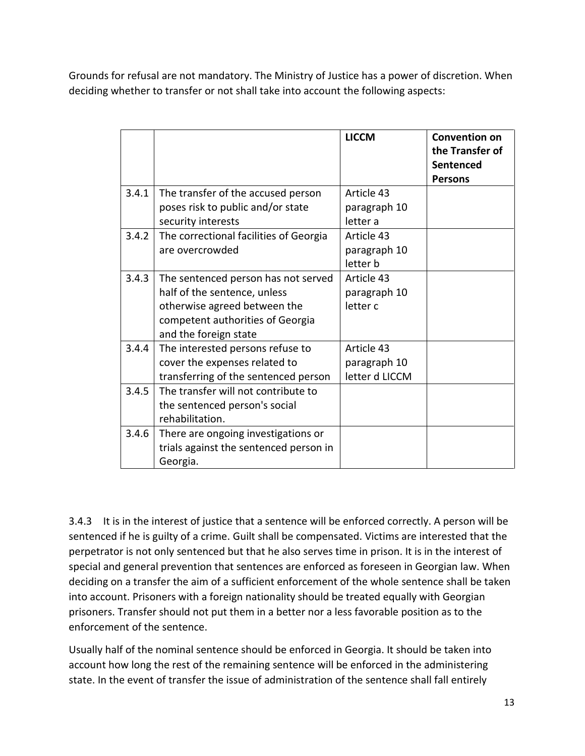Grounds for refusal are not mandatory. The Ministry of Justice has a power of discretion. When deciding whether to transfer or not shall take into account the following aspects:

|       |                                                                                                                                                                  | <b>LICCM</b>                                 | <b>Convention on</b><br>the Transfer of<br>Sentenced<br><b>Persons</b> |
|-------|------------------------------------------------------------------------------------------------------------------------------------------------------------------|----------------------------------------------|------------------------------------------------------------------------|
| 3.4.1 | The transfer of the accused person<br>poses risk to public and/or state                                                                                          | Article 43<br>paragraph 10                   |                                                                        |
|       | security interests                                                                                                                                               | letter a                                     |                                                                        |
| 3.4.2 | The correctional facilities of Georgia<br>are overcrowded                                                                                                        | Article 43<br>paragraph 10<br>letter b       |                                                                        |
| 3.4.3 | The sentenced person has not served<br>half of the sentence, unless<br>otherwise agreed between the<br>competent authorities of Georgia<br>and the foreign state | Article 43<br>paragraph 10<br>letter c       |                                                                        |
| 3.4.4 | The interested persons refuse to<br>cover the expenses related to<br>transferring of the sentenced person                                                        | Article 43<br>paragraph 10<br>letter d LICCM |                                                                        |
| 3.4.5 | The transfer will not contribute to<br>the sentenced person's social<br>rehabilitation.                                                                          |                                              |                                                                        |
| 3.4.6 | There are ongoing investigations or<br>trials against the sentenced person in<br>Georgia.                                                                        |                                              |                                                                        |

3.4.3 It is in the interest of justice that a sentence will be enforced correctly. A person will be sentenced if he is guilty of a crime. Guilt shall be compensated. Victims are interested that the perpetrator is not only sentenced but that he also serves time in prison. It is in the interest of special and general prevention that sentences are enforced as foreseen in Georgian law. When deciding on a transfer the aim of a sufficient enforcement of the whole sentence shall be taken into account. Prisoners with a foreign nationality should be treated equally with Georgian prisoners. Transfer should not put them in a better nor a less favorable position as to the enforcement of the sentence.

Usually half of the nominal sentence should be enforced in Georgia. It should be taken into account how long the rest of the remaining sentence will be enforced in the administering state. In the event of transfer the issue of administration of the sentence shall fall entirely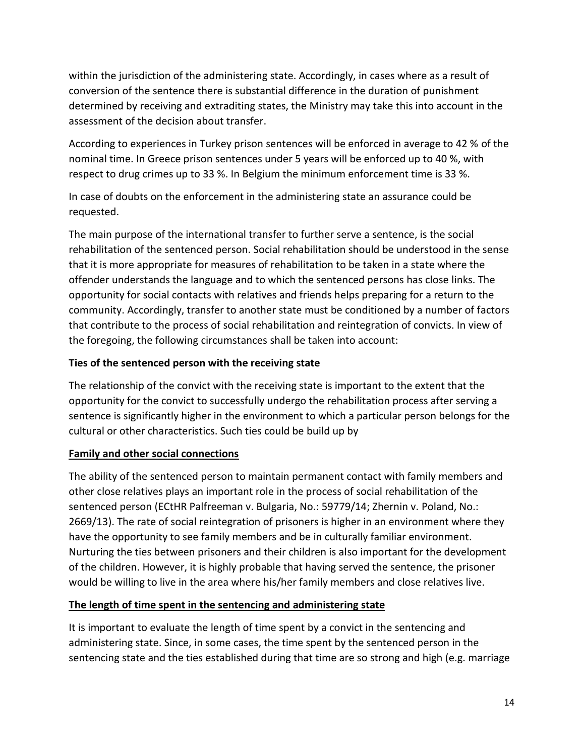within the jurisdiction of the administering state. Accordingly, in cases where as a result of conversion of the sentence there is substantial difference in the duration of punishment determined by receiving and extraditing states, the Ministry may take this into account in the assessment of the decision about transfer.

According to experiences in Turkey prison sentences will be enforced in average to 42 % of the nominal time. In Greece prison sentences under 5 years will be enforced up to 40 %, with respect to drug crimes up to 33 %. In Belgium the minimum enforcement time is 33 %.

In case of doubts on the enforcement in the administering state an assurance could be requested.

The main purpose of the international transfer to further serve a sentence, is the social rehabilitation of the sentenced person. Social rehabilitation should be understood in the sense that it is more appropriate for measures of rehabilitation to be taken in a state where the offender understands the language and to which the sentenced persons has close links. The opportunity for social contacts with relatives and friends helps preparing for a return to the community. Accordingly, transfer to another state must be conditioned by a number of factors that contribute to the process of social rehabilitation and reintegration of convicts. In view of the foregoing, the following circumstances shall be taken into account:

#### **Ties of the sentenced person with the receiving state**

The relationship of the convict with the receiving state is important to the extent that the opportunity for the convict to successfully undergo the rehabilitation process after serving a sentence is significantly higher in the environment to which a particular person belongs for the cultural or other characteristics. Such ties could be build up by

#### **Family and other social connections**

The ability of the sentenced person to maintain permanent contact with family members and other close relatives plays an important role in the process of social rehabilitation of the sentenced person (ECtHR Palfreeman v. Bulgaria, No.: 59779/14; Zhernin v. Poland, No.: 2669/13). The rate of social reintegration of prisoners is higher in an environment where they have the opportunity to see family members and be in culturally familiar environment. Nurturing the ties between prisoners and their children is also important for the development of the children. However, it is highly probable that having served the sentence, the prisoner would be willing to live in the area where his/her family members and close relatives live.

#### **The length of time spent in the sentencing and administering state**

It is important to evaluate the length of time spent by a convict in the sentencing and administering state. Since, in some cases, the time spent by the sentenced person in the sentencing state and the ties established during that time are so strong and high (e.g. marriage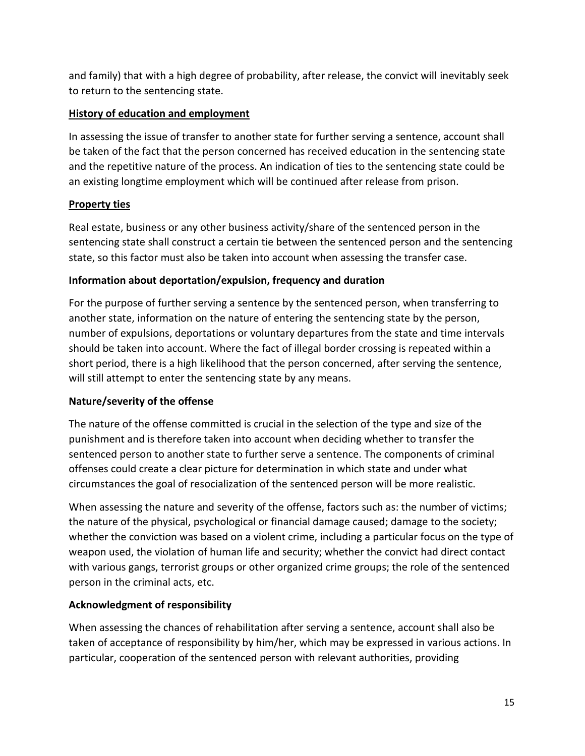and family) that with a high degree of probability, after release, the convict will inevitably seek to return to the sentencing state.

#### **History of education and employment**

In assessing the issue of transfer to another state for further serving a sentence, account shall be taken of the fact that the person concerned has received education in the sentencing state and the repetitive nature of the process. An indication of ties to the sentencing state could be an existing longtime employment which will be continued after release from prison.

## **Property ties**

Real estate, business or any other business activity/share of the sentenced person in the sentencing state shall construct a certain tie between the sentenced person and the sentencing state, so this factor must also be taken into account when assessing the transfer case.

#### **Information about deportation/expulsion, frequency and duration**

For the purpose of further serving a sentence by the sentenced person, when transferring to another state, information on the nature of entering the sentencing state by the person, number of expulsions, deportations or voluntary departures from the state and time intervals should be taken into account. Where the fact of illegal border crossing is repeated within a short period, there is a high likelihood that the person concerned, after serving the sentence, will still attempt to enter the sentencing state by any means.

## **Nature/severity of the offense**

The nature of the offense committed is crucial in the selection of the type and size of the punishment and is therefore taken into account when deciding whether to transfer the sentenced person to another state to further serve a sentence. The components of criminal offenses could create a clear picture for determination in which state and under what circumstances the goal of resocialization of the sentenced person will be more realistic.

When assessing the nature and severity of the offense, factors such as: the number of victims; the nature of the physical, psychological or financial damage caused; damage to the society; whether the conviction was based on a violent crime, including a particular focus on the type of weapon used, the violation of human life and security; whether the convict had direct contact with various gangs, terrorist groups or other organized crime groups; the role of the sentenced person in the criminal acts, etc.

## **Acknowledgment of responsibility**

When assessing the chances of rehabilitation after serving a sentence, account shall also be taken of acceptance of responsibility by him/her, which may be expressed in various actions. In particular, cooperation of the sentenced person with relevant authorities, providing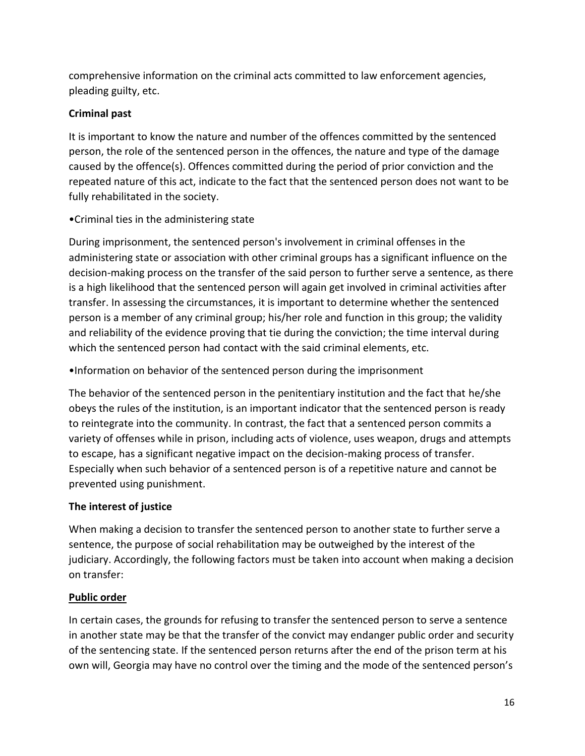comprehensive information on the criminal acts committed to law enforcement agencies, pleading guilty, etc.

## **Criminal past**

It is important to know the nature and number of the offences committed by the sentenced person, the role of the sentenced person in the offences, the nature and type of the damage caused by the offence(s). Offences committed during the period of prior conviction and the repeated nature of this act, indicate to the fact that the sentenced person does not want to be fully rehabilitated in the society.

## •Criminal ties in the administering state

During imprisonment, the sentenced person's involvement in criminal offenses in the administering state or association with other criminal groups has a significant influence on the decision-making process on the transfer of the said person to further serve a sentence, as there is a high likelihood that the sentenced person will again get involved in criminal activities after transfer. In assessing the circumstances, it is important to determine whether the sentenced person is a member of any criminal group; his/her role and function in this group; the validity and reliability of the evidence proving that tie during the conviction; the time interval during which the sentenced person had contact with the said criminal elements, etc.

•Information on behavior of the sentenced person during the imprisonment

The behavior of the sentenced person in the penitentiary institution and the fact that he/she obeys the rules of the institution, is an important indicator that the sentenced person is ready to reintegrate into the community. In contrast, the fact that a sentenced person commits a variety of offenses while in prison, including acts of violence, uses weapon, drugs and attempts to escape, has a significant negative impact on the decision-making process of transfer. Especially when such behavior of a sentenced person is of a repetitive nature and cannot be prevented using punishment.

## **The interest of justice**

When making a decision to transfer the sentenced person to another state to further serve a sentence, the purpose of social rehabilitation may be outweighed by the interest of the judiciary. Accordingly, the following factors must be taken into account when making a decision on transfer:

## **Public order**

In certain cases, the grounds for refusing to transfer the sentenced person to serve a sentence in another state may be that the transfer of the convict may endanger public order and security of the sentencing state. If the sentenced person returns after the end of the prison term at his own will, Georgia may have no control over the timing and the mode of the sentenced person's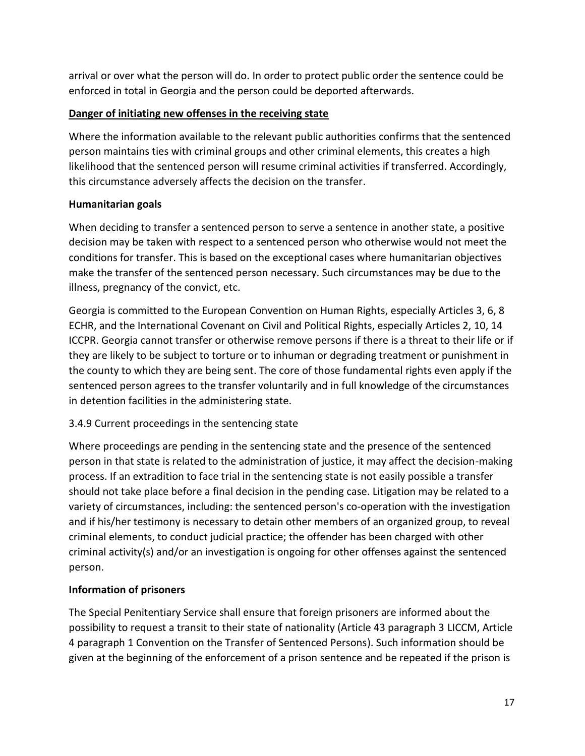arrival or over what the person will do. In order to protect public order the sentence could be enforced in total in Georgia and the person could be deported afterwards.

### **Danger of initiating new offenses in the receiving state**

Where the information available to the relevant public authorities confirms that the sentenced person maintains ties with criminal groups and other criminal elements, this creates a high likelihood that the sentenced person will resume criminal activities if transferred. Accordingly, this circumstance adversely affects the decision on the transfer.

## **Humanitarian goals**

When deciding to transfer a sentenced person to serve a sentence in another state, a positive decision may be taken with respect to a sentenced person who otherwise would not meet the conditions for transfer. This is based on the exceptional cases where humanitarian objectives make the transfer of the sentenced person necessary. Such circumstances may be due to the illness, pregnancy of the convict, etc.

Georgia is committed to the European Convention on Human Rights, especially Articles 3, 6, 8 ECHR, and the International Covenant on Civil and Political Rights, especially Articles 2, 10, 14 ICCPR. Georgia cannot transfer or otherwise remove persons if there is a threat to their life or if they are likely to be subject to torture or to inhuman or degrading treatment or punishment in the county to which they are being sent. The core of those fundamental rights even apply if the sentenced person agrees to the transfer voluntarily and in full knowledge of the circumstances in detention facilities in the administering state.

## 3.4.9 Current proceedings in the sentencing state

Where proceedings are pending in the sentencing state and the presence of the sentenced person in that state is related to the administration of justice, it may affect the decision-making process. If an extradition to face trial in the sentencing state is not easily possible a transfer should not take place before a final decision in the pending case. Litigation may be related to a variety of circumstances, including: the sentenced person's co-operation with the investigation and if his/her testimony is necessary to detain other members of an organized group, to reveal criminal elements, to conduct judicial practice; the offender has been charged with other criminal activity(s) and/or an investigation is ongoing for other offenses against the sentenced person.

## **Information of prisoners**

The Special Penitentiary Service shall ensure that foreign prisoners are informed about the possibility to request a transit to their state of nationality (Article 43 paragraph 3 LICCM, Article 4 paragraph 1 Convention on the Transfer of Sentenced Persons). Such information should be given at the beginning of the enforcement of a prison sentence and be repeated if the prison is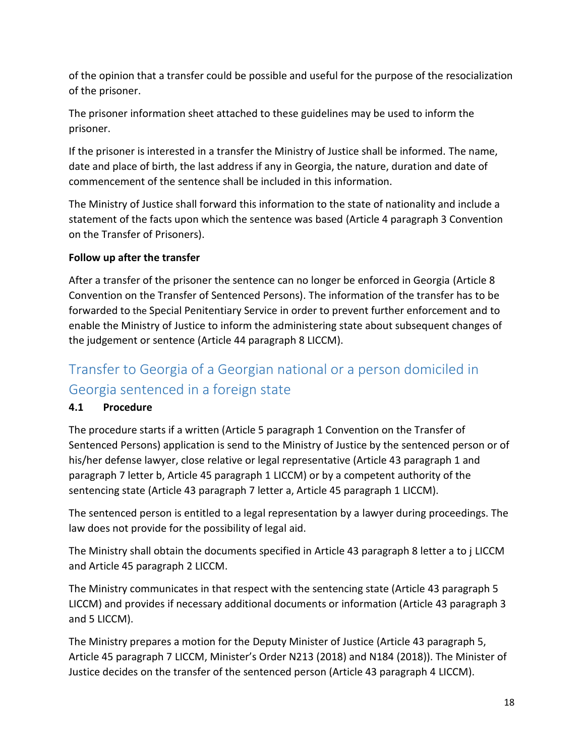of the opinion that a transfer could be possible and useful for the purpose of the resocialization of the prisoner.

The prisoner information sheet attached to these guidelines may be used to inform the prisoner.

If the prisoner is interested in a transfer the Ministry of Justice shall be informed. The name, date and place of birth, the last address if any in Georgia, the nature, duration and date of commencement of the sentence shall be included in this information.

The Ministry of Justice shall forward this information to the state of nationality and include a statement of the facts upon which the sentence was based (Article 4 paragraph 3 Convention on the Transfer of Prisoners).

## **Follow up after the transfer**

After a transfer of the prisoner the sentence can no longer be enforced in Georgia (Article 8 Convention on the Transfer of Sentenced Persons). The information of the transfer has to be forwarded to the Special Penitentiary Service in order to prevent further enforcement and to enable the Ministry of Justice to inform the administering state about subsequent changes of the judgement or sentence (Article 44 paragraph 8 LICCM).

## <span id="page-17-0"></span>Transfer to Georgia of a Georgian national or a person domiciled in Georgia sentenced in a foreign state

## **4.1 Procedure**

The procedure starts if a written (Article 5 paragraph 1 Convention on the Transfer of Sentenced Persons) application is send to the Ministry of Justice by the sentenced person or of his/her defense lawyer, close relative or legal representative (Article 43 paragraph 1 and paragraph 7 letter b, Article 45 paragraph 1 LICCM) or by a competent authority of the sentencing state (Article 43 paragraph 7 letter a, Article 45 paragraph 1 LICCM).

The sentenced person is entitled to a legal representation by a lawyer during proceedings. The law does not provide for the possibility of legal aid.

The Ministry shall obtain the documents specified in Article 43 paragraph 8 letter a to j LICCM and Article 45 paragraph 2 LICCM.

The Ministry communicates in that respect with the sentencing state (Article 43 paragraph 5 LICCM) and provides if necessary additional documents or information (Article 43 paragraph 3 and 5 LICCM).

The Ministry prepares a motion for the Deputy Minister of Justice (Article 43 paragraph 5, Article 45 paragraph 7 LICCM, Minister's Order N213 (2018) and N184 (2018)). The Minister of Justice decides on the transfer of the sentenced person (Article 43 paragraph 4 LICCM).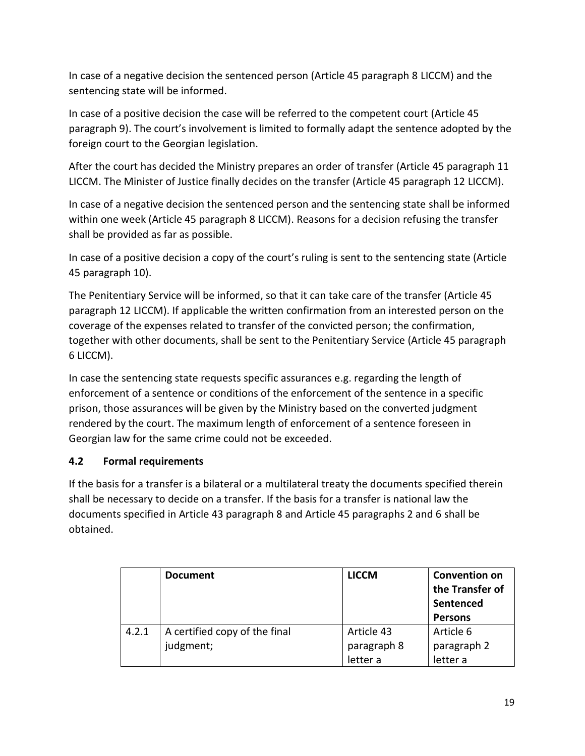In case of a negative decision the sentenced person (Article 45 paragraph 8 LICCM) and the sentencing state will be informed.

In case of a positive decision the case will be referred to the competent court (Article 45 paragraph 9). The court's involvement is limited to formally adapt the sentence adopted by the foreign court to the Georgian legislation.

After the court has decided the Ministry prepares an order of transfer (Article 45 paragraph 11 LICCM. The Minister of Justice finally decides on the transfer (Article 45 paragraph 12 LICCM).

In case of a negative decision the sentenced person and the sentencing state shall be informed within one week (Article 45 paragraph 8 LICCM). Reasons for a decision refusing the transfer shall be provided as far as possible.

In case of a positive decision a copy of the court's ruling is sent to the sentencing state (Article 45 paragraph 10).

The Penitentiary Service will be informed, so that it can take care of the transfer (Article 45 paragraph 12 LICCM). If applicable the written confirmation from an interested person on the coverage of the expenses related to transfer of the convicted person; the confirmation, together with other documents, shall be sent to the Penitentiary Service (Article 45 paragraph 6 LICCM).

In case the sentencing state requests specific assurances e.g. regarding the length of enforcement of a sentence or conditions of the enforcement of the sentence in a specific prison, those assurances will be given by the Ministry based on the converted judgment rendered by the court. The maximum length of enforcement of a sentence foreseen in Georgian law for the same crime could not be exceeded.

## **4.2 Formal requirements**

If the basis for a transfer is a bilateral or a multilateral treaty the documents specified therein shall be necessary to decide on a transfer. If the basis for a transfer is national law the documents specified in Article 43 paragraph 8 and Article 45 paragraphs 2 and 6 shall be obtained.

|       | <b>Document</b>                            | <b>LICCM</b>                          | <b>Convention on</b><br>the Transfer of<br>Sentenced<br><b>Persons</b> |
|-------|--------------------------------------------|---------------------------------------|------------------------------------------------------------------------|
| 4.2.1 | A certified copy of the final<br>judgment; | Article 43<br>paragraph 8<br>letter a | Article 6<br>paragraph 2<br>letter a                                   |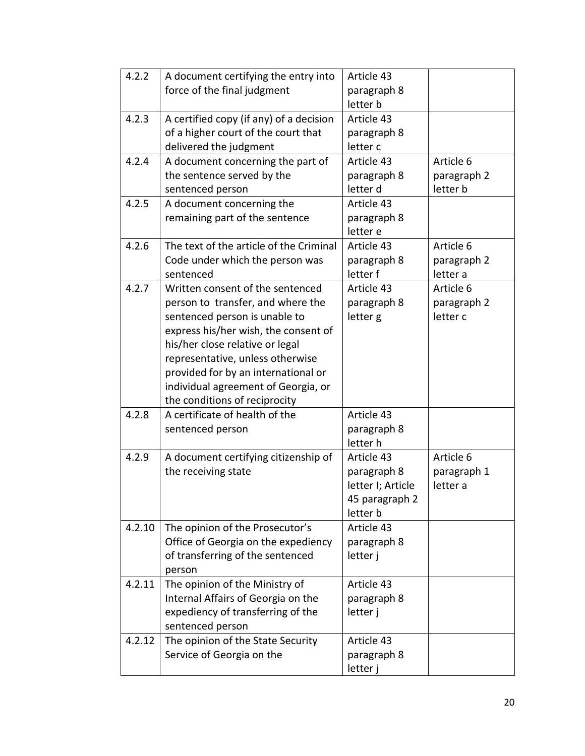| 4.2.2  | A document certifying the entry into    | Article 43        |             |
|--------|-----------------------------------------|-------------------|-------------|
|        | force of the final judgment             | paragraph 8       |             |
|        |                                         | letter b          |             |
| 4.2.3  | A certified copy (if any) of a decision | Article 43        |             |
|        | of a higher court of the court that     | paragraph 8       |             |
|        | delivered the judgment                  | letter c          |             |
| 4.2.4  | A document concerning the part of       | Article 43        | Article 6   |
|        | the sentence served by the              | paragraph 8       | paragraph 2 |
|        | sentenced person                        | letter d          | letter b    |
| 4.2.5  | A document concerning the               | Article 43        |             |
|        | remaining part of the sentence          | paragraph 8       |             |
|        |                                         | letter e          |             |
| 4.2.6  | The text of the article of the Criminal | Article 43        | Article 6   |
|        | Code under which the person was         | paragraph 8       | paragraph 2 |
|        | sentenced                               | letter f          | letter a    |
| 4.2.7  | Written consent of the sentenced        | Article 43        | Article 6   |
|        | person to transfer, and where the       | paragraph 8       | paragraph 2 |
|        | sentenced person is unable to           | letter g          | letter c    |
|        | express his/her wish, the consent of    |                   |             |
|        | his/her close relative or legal         |                   |             |
|        | representative, unless otherwise        |                   |             |
|        | provided for by an international or     |                   |             |
|        | individual agreement of Georgia, or     |                   |             |
|        | the conditions of reciprocity           |                   |             |
| 4.2.8  | A certificate of health of the          | Article 43        |             |
|        | sentenced person                        | paragraph 8       |             |
|        |                                         | letter h          |             |
| 4.2.9  | A document certifying citizenship of    | Article 43        | Article 6   |
|        | the receiving state                     | paragraph 8       | paragraph 1 |
|        |                                         | letter I; Article | letter a    |
|        |                                         | 45 paragraph 2    |             |
|        |                                         | letter b          |             |
| 4.2.10 | The opinion of the Prosecutor's         | Article 43        |             |
|        | Office of Georgia on the expediency     | paragraph 8       |             |
|        | of transferring of the sentenced        | letter j          |             |
|        | person                                  |                   |             |
| 4.2.11 | The opinion of the Ministry of          | Article 43        |             |
|        | Internal Affairs of Georgia on the      | paragraph 8       |             |
|        | expediency of transferring of the       | letter j          |             |
|        | sentenced person                        |                   |             |
| 4.2.12 | The opinion of the State Security       | Article 43        |             |
|        | Service of Georgia on the               | paragraph 8       |             |
|        |                                         | letter j          |             |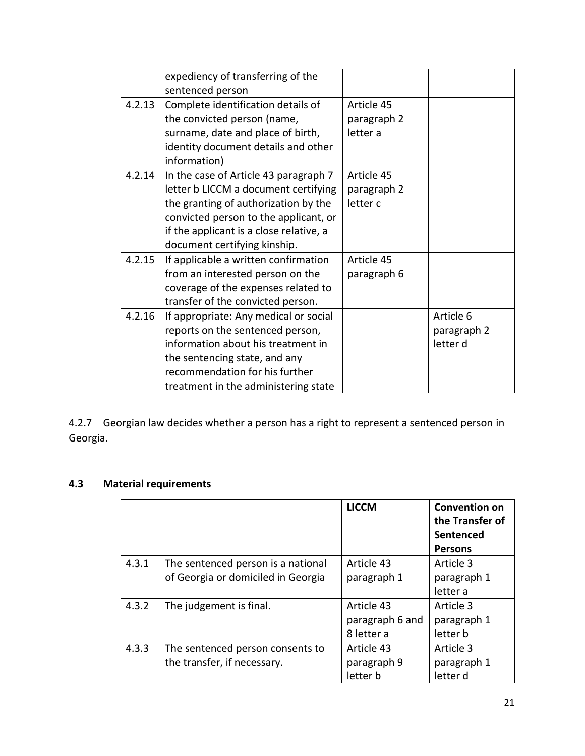|        | expediency of transferring of the       |             |             |
|--------|-----------------------------------------|-------------|-------------|
|        | sentenced person                        |             |             |
| 4.2.13 | Complete identification details of      | Article 45  |             |
|        | the convicted person (name,             | paragraph 2 |             |
|        | surname, date and place of birth,       | letter a    |             |
|        | identity document details and other     |             |             |
|        | information)                            |             |             |
| 4.2.14 | In the case of Article 43 paragraph 7   | Article 45  |             |
|        | letter b LICCM a document certifying    | paragraph 2 |             |
|        | the granting of authorization by the    | letter c    |             |
|        | convicted person to the applicant, or   |             |             |
|        | if the applicant is a close relative, a |             |             |
|        | document certifying kinship.            |             |             |
| 4.2.15 | If applicable a written confirmation    | Article 45  |             |
|        | from an interested person on the        | paragraph 6 |             |
|        | coverage of the expenses related to     |             |             |
|        | transfer of the convicted person.       |             |             |
| 4.2.16 | If appropriate: Any medical or social   |             | Article 6   |
|        | reports on the sentenced person,        |             | paragraph 2 |
|        | information about his treatment in      |             | letter d    |
|        | the sentencing state, and any           |             |             |
|        | recommendation for his further          |             |             |
|        | treatment in the administering state    |             |             |

4.2.7 Georgian law decides whether a person has a right to represent a sentenced person in Georgia.

### **4.3 Material requirements**

|       |                                    | <b>LICCM</b>    | <b>Convention on</b><br>the Transfer of |
|-------|------------------------------------|-----------------|-----------------------------------------|
|       |                                    |                 | Sentenced                               |
|       |                                    |                 | <b>Persons</b>                          |
| 4.3.1 | The sentenced person is a national | Article 43      | Article 3                               |
|       | of Georgia or domiciled in Georgia | paragraph 1     | paragraph 1                             |
|       |                                    |                 | letter a                                |
| 4.3.2 | The judgement is final.            | Article 43      | Article 3                               |
|       |                                    | paragraph 6 and | paragraph 1                             |
|       |                                    | 8 letter a      | letter b                                |
| 4.3.3 | The sentenced person consents to   | Article 43      | Article 3                               |
|       | the transfer, if necessary.        | paragraph 9     | paragraph 1                             |
|       |                                    | letter b        | letter d                                |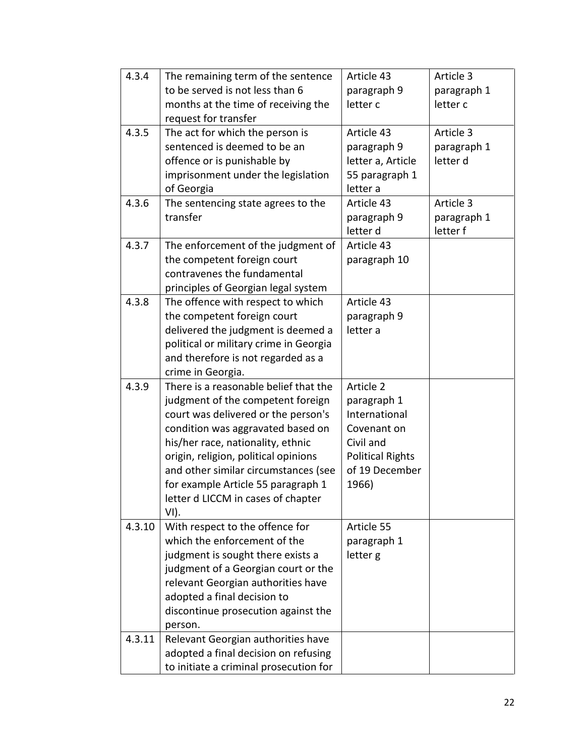| 4.3.4  | The remaining term of the sentence     | Article 43              | Article 3   |
|--------|----------------------------------------|-------------------------|-------------|
|        | to be served is not less than 6        | paragraph 9             | paragraph 1 |
|        | months at the time of receiving the    | letter c                | letter c    |
|        | request for transfer                   |                         |             |
| 4.3.5  | The act for which the person is        | Article 43              | Article 3   |
|        | sentenced is deemed to be an           | paragraph 9             | paragraph 1 |
|        | offence or is punishable by            | letter a, Article       | letter d    |
|        | imprisonment under the legislation     | 55 paragraph 1          |             |
|        | of Georgia                             | letter a                |             |
| 4.3.6  | The sentencing state agrees to the     | Article 43              | Article 3   |
|        | transfer                               | paragraph 9             | paragraph 1 |
|        |                                        | letter d                | letter f    |
| 4.3.7  | The enforcement of the judgment of     | Article 43              |             |
|        | the competent foreign court            | paragraph 10            |             |
|        | contravenes the fundamental            |                         |             |
|        | principles of Georgian legal system    |                         |             |
| 4.3.8  | The offence with respect to which      | Article 43              |             |
|        | the competent foreign court            | paragraph 9             |             |
|        | delivered the judgment is deemed a     | letter a                |             |
|        | political or military crime in Georgia |                         |             |
|        | and therefore is not regarded as a     |                         |             |
|        | crime in Georgia.                      |                         |             |
| 4.3.9  | There is a reasonable belief that the  | Article 2               |             |
|        | judgment of the competent foreign      | paragraph 1             |             |
|        | court was delivered or the person's    | International           |             |
|        | condition was aggravated based on      | Covenant on             |             |
|        | his/her race, nationality, ethnic      | Civil and               |             |
|        | origin, religion, political opinions   | <b>Political Rights</b> |             |
|        | and other similar circumstances (see   | of 19 December          |             |
|        | for example Article 55 paragraph 1     | 1966)                   |             |
|        | letter d LICCM in cases of chapter     |                         |             |
|        | VI).                                   |                         |             |
| 4.3.10 | With respect to the offence for        | Article 55              |             |
|        | which the enforcement of the           | paragraph 1             |             |
|        | judgment is sought there exists a      | letter g                |             |
|        | judgment of a Georgian court or the    |                         |             |
|        | relevant Georgian authorities have     |                         |             |
|        | adopted a final decision to            |                         |             |
|        | discontinue prosecution against the    |                         |             |
|        | person.                                |                         |             |
| 4.3.11 | Relevant Georgian authorities have     |                         |             |
|        | adopted a final decision on refusing   |                         |             |
|        | to initiate a criminal prosecution for |                         |             |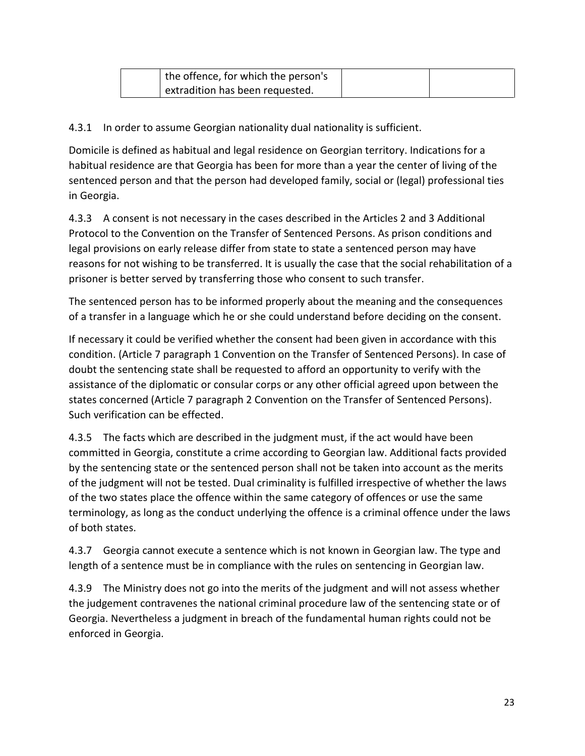| the offence, for which the person's |  |
|-------------------------------------|--|
| extradition has been requested.     |  |

4.3.1 In order to assume Georgian nationality dual nationality is sufficient.

Domicile is defined as habitual and legal residence on Georgian territory. Indications for a habitual residence are that Georgia has been for more than a year the center of living of the sentenced person and that the person had developed family, social or (legal) professional ties in Georgia.

4.3.3 A consent is not necessary in the cases described in the Articles 2 and 3 Additional Protocol to the Convention on the Transfer of Sentenced Persons. As prison conditions and legal provisions on early release differ from state to state a sentenced person may have reasons for not wishing to be transferred. It is usually the case that the social rehabilitation of a prisoner is better served by transferring those who consent to such transfer.

The sentenced person has to be informed properly about the meaning and the consequences of a transfer in a language which he or she could understand before deciding on the consent.

If necessary it could be verified whether the consent had been given in accordance with this condition. (Article 7 paragraph 1 Convention on the Transfer of Sentenced Persons). In case of doubt the sentencing state shall be requested to afford an opportunity to verify with the assistance of the diplomatic or consular corps or any other official agreed upon between the states concerned (Article 7 paragraph 2 Convention on the Transfer of Sentenced Persons). Such verification can be effected.

4.3.5 The facts which are described in the judgment must, if the act would have been committed in Georgia, constitute a crime according to Georgian law. Additional facts provided by the sentencing state or the sentenced person shall not be taken into account as the merits of the judgment will not be tested. Dual criminality is fulfilled irrespective of whether the laws of the two states place the offence within the same category of offences or use the same terminology, as long as the conduct underlying the offence is a criminal offence under the laws of both states.

4.3.7 Georgia cannot execute a sentence which is not known in Georgian law. The type and length of a sentence must be in compliance with the rules on sentencing in Georgian law.

4.3.9 The Ministry does not go into the merits of the judgment and will not assess whether the judgement contravenes the national criminal procedure law of the sentencing state or of Georgia. Nevertheless a judgment in breach of the fundamental human rights could not be enforced in Georgia.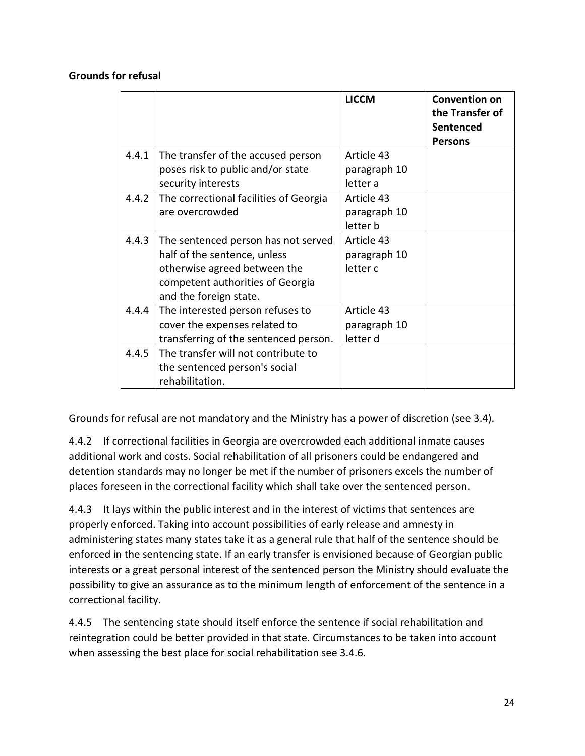#### **Grounds for refusal**

|       |                                        | <b>LICCM</b> | <b>Convention on</b><br>the Transfer of<br>Sentenced<br><b>Persons</b> |
|-------|----------------------------------------|--------------|------------------------------------------------------------------------|
| 4.4.1 | The transfer of the accused person     | Article 43   |                                                                        |
|       | poses risk to public and/or state      | paragraph 10 |                                                                        |
|       | security interests                     | letter a     |                                                                        |
| 4.4.2 | The correctional facilities of Georgia | Article 43   |                                                                        |
|       | are overcrowded                        | paragraph 10 |                                                                        |
|       |                                        | letter b     |                                                                        |
| 4.4.3 | The sentenced person has not served    | Article 43   |                                                                        |
|       | half of the sentence, unless           | paragraph 10 |                                                                        |
|       | otherwise agreed between the           | letter c     |                                                                        |
|       | competent authorities of Georgia       |              |                                                                        |
|       | and the foreign state.                 |              |                                                                        |
| 4.4.4 | The interested person refuses to       | Article 43   |                                                                        |
|       | cover the expenses related to          | paragraph 10 |                                                                        |
|       | transferring of the sentenced person.  | letter d     |                                                                        |
| 4.4.5 | The transfer will not contribute to    |              |                                                                        |
|       | the sentenced person's social          |              |                                                                        |
|       | rehabilitation.                        |              |                                                                        |

Grounds for refusal are not mandatory and the Ministry has a power of discretion (see 3.4).

4.4.2 If correctional facilities in Georgia are overcrowded each additional inmate causes additional work and costs. Social rehabilitation of all prisoners could be endangered and detention standards may no longer be met if the number of prisoners excels the number of places foreseen in the correctional facility which shall take over the sentenced person.

4.4.3 It lays within the public interest and in the interest of victims that sentences are properly enforced. Taking into account possibilities of early release and amnesty in administering states many states take it as a general rule that half of the sentence should be enforced in the sentencing state. If an early transfer is envisioned because of Georgian public interests or a great personal interest of the sentenced person the Ministry should evaluate the possibility to give an assurance as to the minimum length of enforcement of the sentence in a correctional facility.

4.4.5 The sentencing state should itself enforce the sentence if social rehabilitation and reintegration could be better provided in that state. Circumstances to be taken into account when assessing the best place for social rehabilitation see 3.4.6.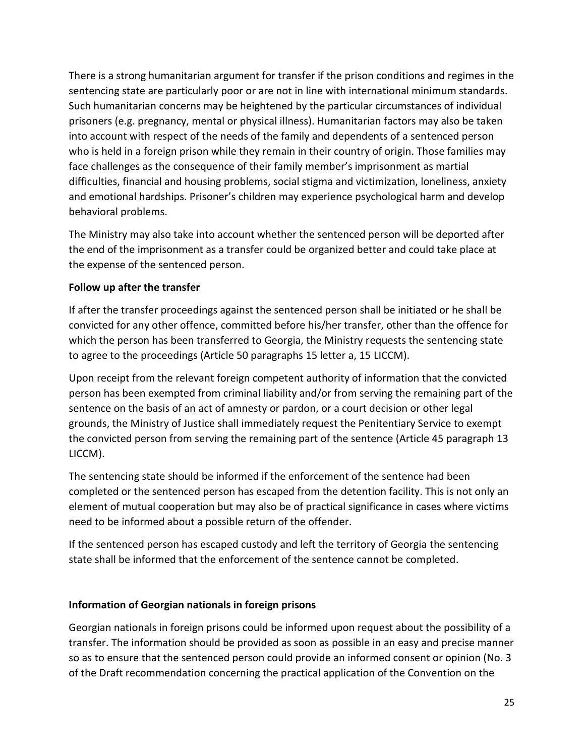There is a strong humanitarian argument for transfer if the prison conditions and regimes in the sentencing state are particularly poor or are not in line with international minimum standards. Such humanitarian concerns may be heightened by the particular circumstances of individual prisoners (e.g. pregnancy, mental or physical illness). Humanitarian factors may also be taken into account with respect of the needs of the family and dependents of a sentenced person who is held in a foreign prison while they remain in their country of origin. Those families may face challenges as the consequence of their family member's imprisonment as martial difficulties, financial and housing problems, social stigma and victimization, loneliness, anxiety and emotional hardships. Prisoner's children may experience psychological harm and develop behavioral problems.

The Ministry may also take into account whether the sentenced person will be deported after the end of the imprisonment as a transfer could be organized better and could take place at the expense of the sentenced person.

#### **Follow up after the transfer**

If after the transfer proceedings against the sentenced person shall be initiated or he shall be convicted for any other offence, committed before his/her transfer, other than the offence for which the person has been transferred to Georgia, the Ministry requests the sentencing state to agree to the proceedings (Article 50 paragraphs 15 letter a, 15 LICCM).

Upon receipt from the relevant foreign competent authority of information that the convicted person has been exempted from criminal liability and/or from serving the remaining part of the sentence on the basis of an act of amnesty or pardon, or a court decision or other legal grounds, the Ministry of Justice shall immediately request the Penitentiary Service to exempt the convicted person from serving the remaining part of the sentence (Article 45 paragraph 13 LICCM).

The sentencing state should be informed if the enforcement of the sentence had been completed or the sentenced person has escaped from the detention facility. This is not only an element of mutual cooperation but may also be of practical significance in cases where victims need to be informed about a possible return of the offender.

If the sentenced person has escaped custody and left the territory of Georgia the sentencing state shall be informed that the enforcement of the sentence cannot be completed.

#### **Information of Georgian nationals in foreign prisons**

Georgian nationals in foreign prisons could be informed upon request about the possibility of a transfer. The information should be provided as soon as possible in an easy and precise manner so as to ensure that the sentenced person could provide an informed consent or opinion (No. 3 of the Draft recommendation concerning the practical application of the Convention on the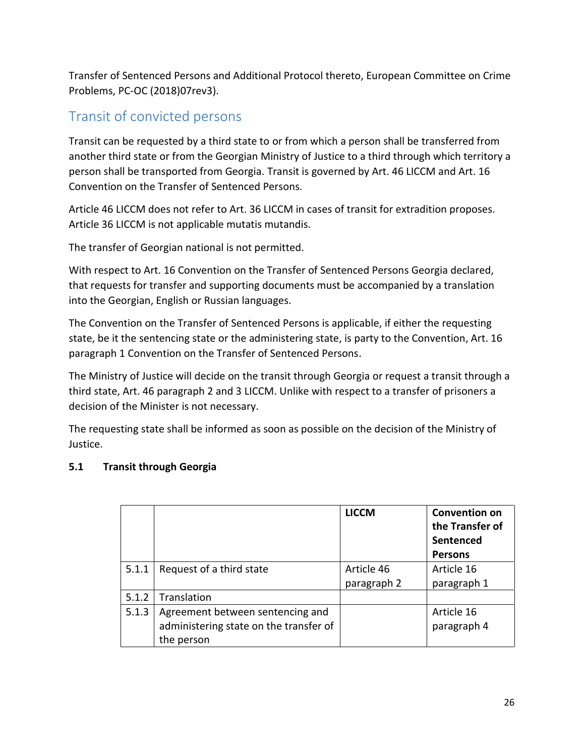Transfer of Sentenced Persons and Additional Protocol thereto, European Committee on Crime Problems, PC-OC (2018)07rev3).

## <span id="page-25-0"></span>Transit of convicted persons

Transit can be requested by a third state to or from which a person shall be transferred from another third state or from the Georgian Ministry of Justice to a third through which territory a person shall be transported from Georgia. Transit is governed by Art. 46 LICCM and Art. 16 Convention on the Transfer of Sentenced Persons.

Article 46 LICCM does not refer to Art. 36 LICCM in cases of transit for extradition proposes. Article 36 LICCM is not applicable mutatis mutandis.

The transfer of Georgian national is not permitted.

With respect to Art. 16 Convention on the Transfer of Sentenced Persons Georgia declared, that requests for transfer and supporting documents must be accompanied by a translation into the Georgian, English or Russian languages.

The Convention on the Transfer of Sentenced Persons is applicable, if either the requesting state, be it the sentencing state or the administering state, is party to the Convention, Art. 16 paragraph 1 Convention on the Transfer of Sentenced Persons.

The Ministry of Justice will decide on the transit through Georgia or request a transit through a third state, Art. 46 paragraph 2 and 3 LICCM. Unlike with respect to a transfer of prisoners a decision of the Minister is not necessary.

The requesting state shall be informed as soon as possible on the decision of the Ministry of Justice.

## **5.1 Transit through Georgia**

|       |                                        | <b>LICCM</b> | <b>Convention on</b><br>the Transfer of<br>Sentenced<br><b>Persons</b> |
|-------|----------------------------------------|--------------|------------------------------------------------------------------------|
| 5.1.1 | Request of a third state               | Article 46   | Article 16                                                             |
|       |                                        | paragraph 2  | paragraph 1                                                            |
| 5.1.2 | Translation                            |              |                                                                        |
| 5.1.3 | Agreement between sentencing and       |              | Article 16                                                             |
|       | administering state on the transfer of |              | paragraph 4                                                            |
|       | the person                             |              |                                                                        |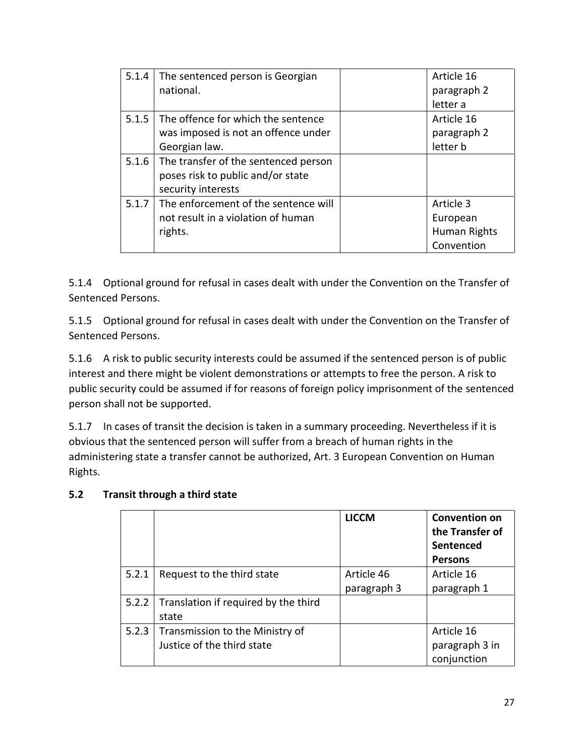| 5.1.4 | The sentenced person is Georgian     | Article 16   |
|-------|--------------------------------------|--------------|
|       | national.                            | paragraph 2  |
|       |                                      | letter a     |
| 5.1.5 | The offence for which the sentence   | Article 16   |
|       | was imposed is not an offence under  | paragraph 2  |
|       | Georgian law.                        | letter b     |
| 5.1.6 | The transfer of the sentenced person |              |
|       | poses risk to public and/or state    |              |
|       | security interests                   |              |
| 5.1.7 | The enforcement of the sentence will | Article 3    |
|       | not result in a violation of human   | European     |
|       | rights.                              | Human Rights |
|       |                                      | Convention   |

5.1.4 Optional ground for refusal in cases dealt with under the Convention on the Transfer of Sentenced Persons.

5.1.5 Optional ground for refusal in cases dealt with under the Convention on the Transfer of Sentenced Persons.

5.1.6 A risk to public security interests could be assumed if the sentenced person is of public interest and there might be violent demonstrations or attempts to free the person. A risk to public security could be assumed if for reasons of foreign policy imprisonment of the sentenced person shall not be supported.

5.1.7 In cases of transit the decision is taken in a summary proceeding. Nevertheless if it is obvious that the sentenced person will suffer from a breach of human rights in the administering state a transfer cannot be authorized, Art. 3 European Convention on Human Rights.

|       |                                      | <b>LICCM</b> | <b>Convention on</b><br>the Transfer of<br>Sentenced<br><b>Persons</b> |
|-------|--------------------------------------|--------------|------------------------------------------------------------------------|
| 5.2.1 | Request to the third state           | Article 46   | Article 16                                                             |
|       |                                      | paragraph 3  | paragraph 1                                                            |
| 5.2.2 | Translation if required by the third |              |                                                                        |
|       | state                                |              |                                                                        |
| 5.2.3 | Transmission to the Ministry of      |              | Article 16                                                             |
|       | Justice of the third state           |              | paragraph 3 in                                                         |
|       |                                      |              | conjunction                                                            |

## **5.2 Transit through a third state**